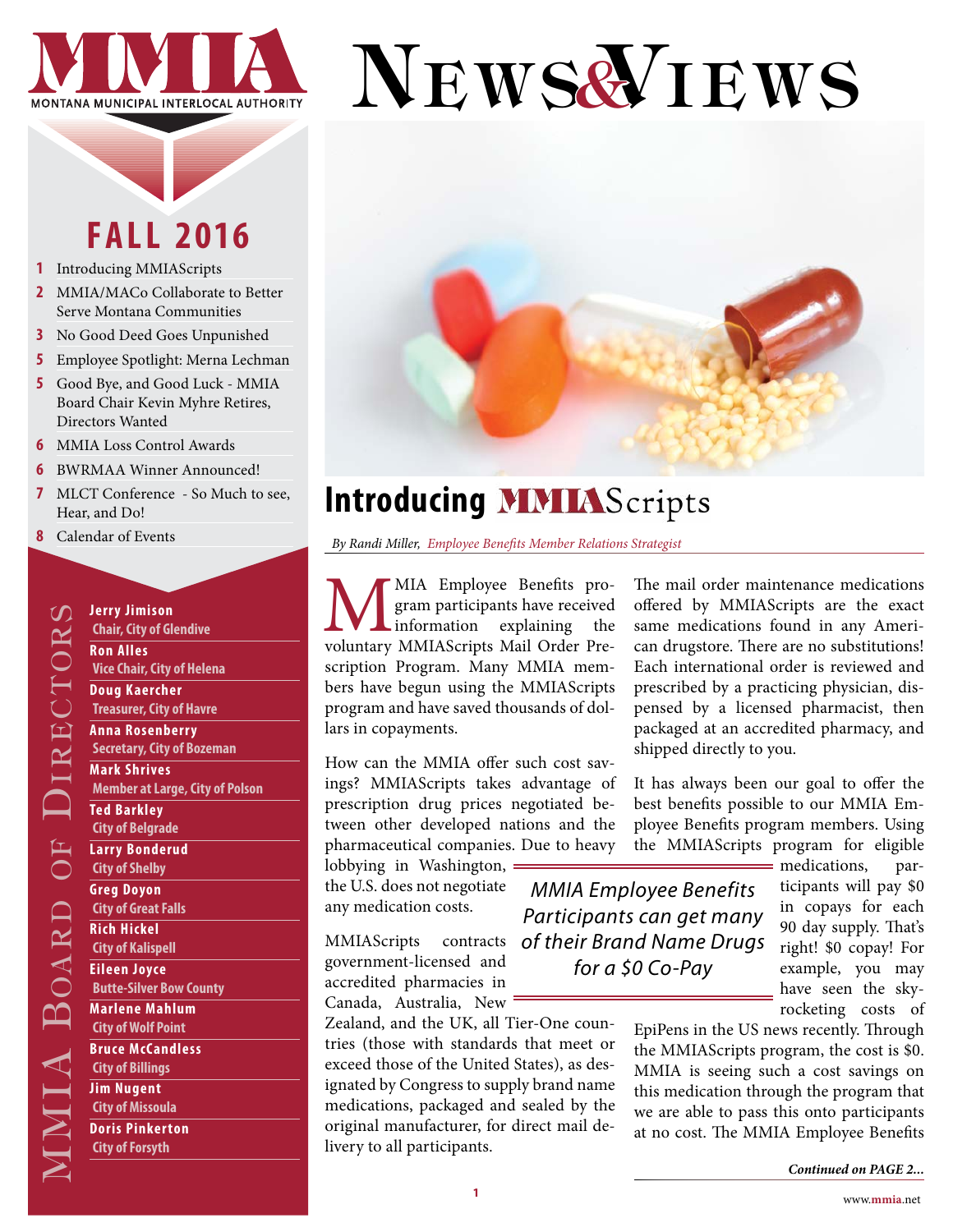

# NEWS& IEWS

# **FALL 2016**

- **1** Introducing MMIAScripts
- **2** [MMIA/MACo Collaborate to Better](#page-1-0)  [Serve Montana Communities](#page-1-0)
- **3** [No Good Deed Goes Unpunished](#page-2-0)
- **5** [Employee Spotlight: Merna Lechman](#page-4-0)
- **5** [Good Bye, and Good Luck MMIA](#page-4-0)  [Board Chair Kevin Myhre Retires,](#page-4-0)  [Directors Wanted](#page-4-0)
- **6** [MMIA Loss Control Awards](#page-5-0)
- **6** [BWRMAA Winner Announced!](#page-5-0)
- **7** [MLCT Conference So Much to see,](#page-6-0)  [Hear, and Do!](#page-6-0)
- **8** [Calendar of Events](#page-7-0)

**Subset of Science of Science Control**<br> **Contribution**<br> **Contribution**<br> **Contribution**<br> **Contribution**<br> **Contribution**<br> **Contribution**<br> **Contribution**<br> **Contribution**<br> **Contribution**<br> **Contribution**<br> **Contribution**<br> **Contr Chair, City of Glendive Ron Alles Vice Chair, City of Helena Doug Kaercher Treasurer, City of Havre Anna Rosenberry Secretary, City of Bozeman Mark Shrives Member at Large, City of Polson Ted Barkley City of Belgrade Larry Bonderud City of Shelby Greg Doyon City of Great Falls Rich Hickel City of Kalispell Eileen Joyce Butte-Silver Bow County Marlene Mahlum City of Wolf Point Bruce McCandless City of Billings Jim Nugent City of Missoula**

**Doris Pinkerton City of Forsyth** 



# **Introducing MMIAS** cripts

*By Randi Miller, Employee Benefits Member Relations Strategist*

WIA Employee Benefits pro-<br>
gram participants have received<br>
voluntary MMIAScripts Mail Order Pregram participants have received information explaining the scription Program. Many MMIA members have begun using the MMIAScripts program and have saved thousands of dollars in copayments.

How can the MMIA offer such cost savings? MMIAScripts takes advantage of prescription drug prices negotiated between other developed nations and the pharmaceutical companies. Due to heavy

lobbying in Washington, the U.S. does not negotiate any medication costs.

MMIAScripts contracts government-licensed and accredited pharmacies in Canada, Australia, New

livery to all participants.

*MMIA Employee Benefits Participants can get many of their Brand Name Drugs for a \$0 Co-Pay*

The mail order maintenance medications offered by MMIAScripts are the exact same medications found in any American drugstore. There are no substitutions! Each international order is reviewed and prescribed by a practicing physician, dispensed by a licensed pharmacist, then packaged at an accredited pharmacy, and shipped directly to you.

It has always been our goal to offer the best benefits possible to our MMIA Employee Benefits program members. Using the MMIAScripts program for eligible

> medications, participants will pay \$0 in copays for each 90 day supply. That's right! \$0 copay! For example, you may have seen the skyrocketing costs of

Marlene Mahlum<br>
Canada, Australia, New Text on the UK, all Tier-One coun-<br>
Tree MC interlocal Authority of Nilms<br>
City of Nillings<br>
City of Billings<br>
City of Millings<br>
City of Millings<br>
City of Missoula<br>
Duris Pinkerton<br>
C EpiPens in the US news recently. Through the MMIAScripts program, the cost is \$0. MMIA is seeing such a cost savings on this medication through the program that we are able to pass this onto participants at no cost. The MMIA Employee Benefits

Zealand, and the UK, all Tier-One countries (those with standards that meet or exceed those of the United States), as designated by Congress to supply brand name medications, packaged and sealed by the original manufacturer, for direct mail de-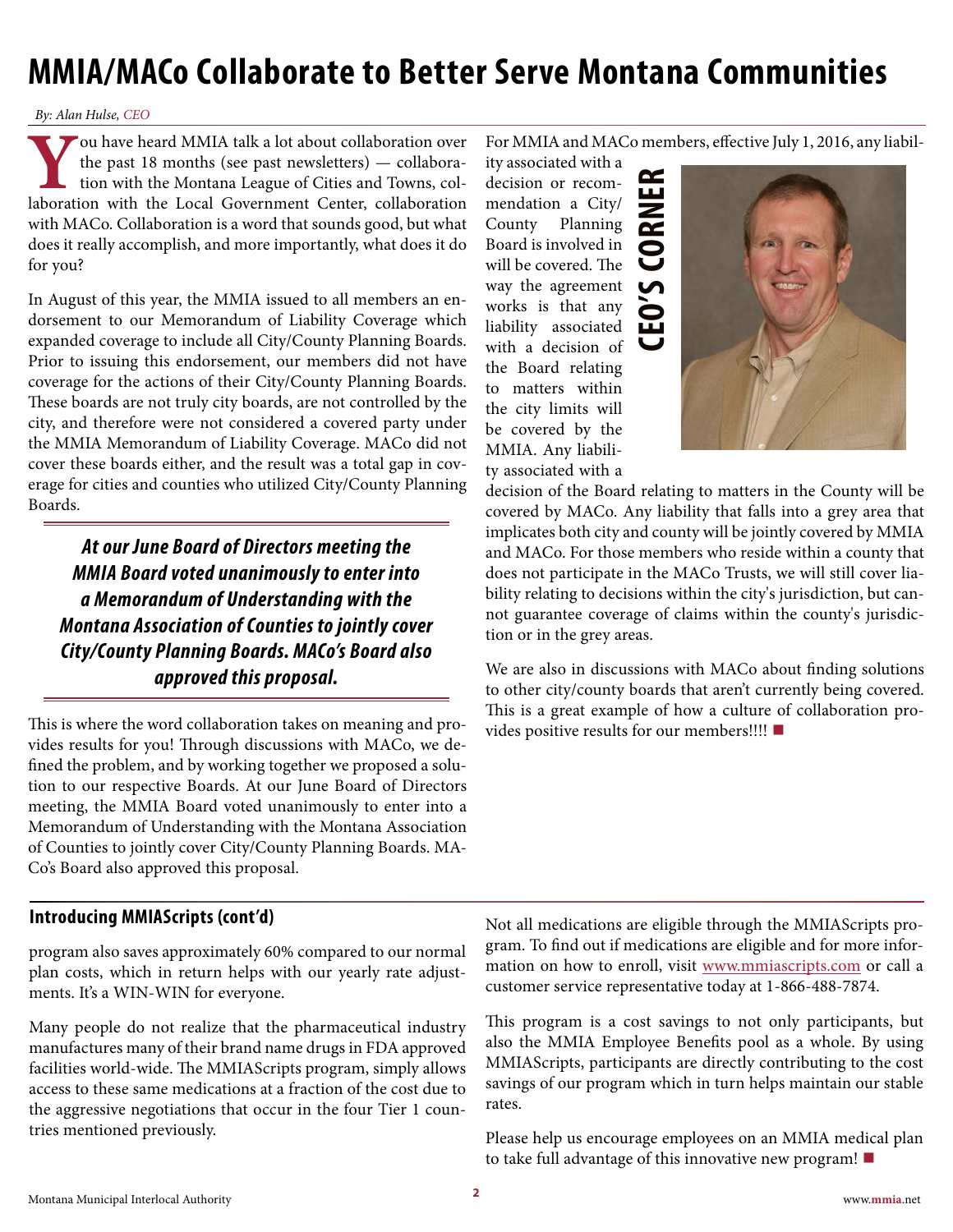# <span id="page-1-0"></span>**MMIA/MACo Collaborate to Better Serve Montana Communities**

#### *By: Alan Hulse, CEO*

**Y**ou have heard MMIA talk a lot about collaboration over the past 18 months (see past newsletters) — collaboration with the Montana League of Cities and Towns, collaboration with the Local Government Center, collaboration the past 18 months (see past newsletters) — collaboration with the Montana League of Cities and Towns, collaboration with the Local Government Center, collaboration with MACo. Collaboration is a word that sounds good, but what does it really accomplish, and more importantly, what does it do for you?

In August of this year, the MMIA issued to all members an endorsement to our Memorandum of Liability Coverage which expanded coverage to include all City/County Planning Boards. Prior to issuing this endorsement, our members did not have coverage for the actions of their City/County Planning Boards. These boards are not truly city boards, are not controlled by the city, and therefore were not considered a covered party under the MMIA Memorandum of Liability Coverage. MACo did not cover these boards either, and the result was a total gap in coverage for cities and counties who utilized City/County Planning Boards.

*At our June Board of Directors meeting the MMIA Board voted unanimously to enter into a Memorandum of Understanding with the Montana Association of Counties to jointly cover City/County Planning Boards. MACo's Board also approved this proposal.*

This is where the word collaboration takes on meaning and provides results for you! Through discussions with MACo, we defined the problem, and by working together we proposed a solution to our respective Boards. At our June Board of Directors meeting, the MMIA Board voted unanimously to enter into a Memorandum of Understanding with the Montana Association of Counties to jointly cover City/County Planning Boards. MA-Co's Board also approved this proposal.

For MMIA and MACo members, effective July 1, 2016, any liabil-

**CEO'S CORNER**

≃ ш  $\overline{\phantom{a}}$  $\overline{\mathbf{r}}$ 

ity associated with a decision or recommendation a City/ County Planning Board is involved in will be covered. The way the agreement works is that any liability associated with a decision of the Board relating to matters within the city limits will be covered by the MMIA. Any liability associated with a



decision of the Board relating to matters in the County will be covered by MACo. Any liability that falls into a grey area that implicates both city and county will be jointly covered by MMIA and MACo. For those members who reside within a county that does not participate in the MACo Trusts, we will still cover liability relating to decisions within the city's jurisdiction, but cannot guarantee coverage of claims within the county's jurisdiction or in the grey areas.

We are also in discussions with MACo about finding solutions to other city/county boards that aren't currently being covered. This is a great example of how a culture of collaboration provides positive results for our members!!!! **■**

### **Introducing MMIAScripts (cont'd)**

program also saves approximately 60% compared to our normal plan costs, which in return helps with our yearly rate adjustments. It's a WIN-WIN for everyone.

Many people do not realize that the pharmaceutical industry manufactures many of their brand name drugs in FDA approved facilities world-wide. The MMIAScripts program, simply allows access to these same medications at a fraction of the cost due to the aggressive negotiations that occur in the four Tier 1 countries mentioned previously.

Not all medications are eligible through the MMIAScripts program. To find out if medications are eligible and for more information on how to enroll, visit [www.mmiascripts.com](http://www.mmiascripts.com) or call a customer service representative today at 1-866-488-7874.

This program is a cost savings to not only participants, but also the MMIA Employee Benefits pool as a whole. By using MMIAScripts, participants are directly contributing to the cost savings of our program which in turn helps maintain our stable rates.

Please help us encourage employees on an MMIA medical plan to take full advantage of this innovative new program! **■**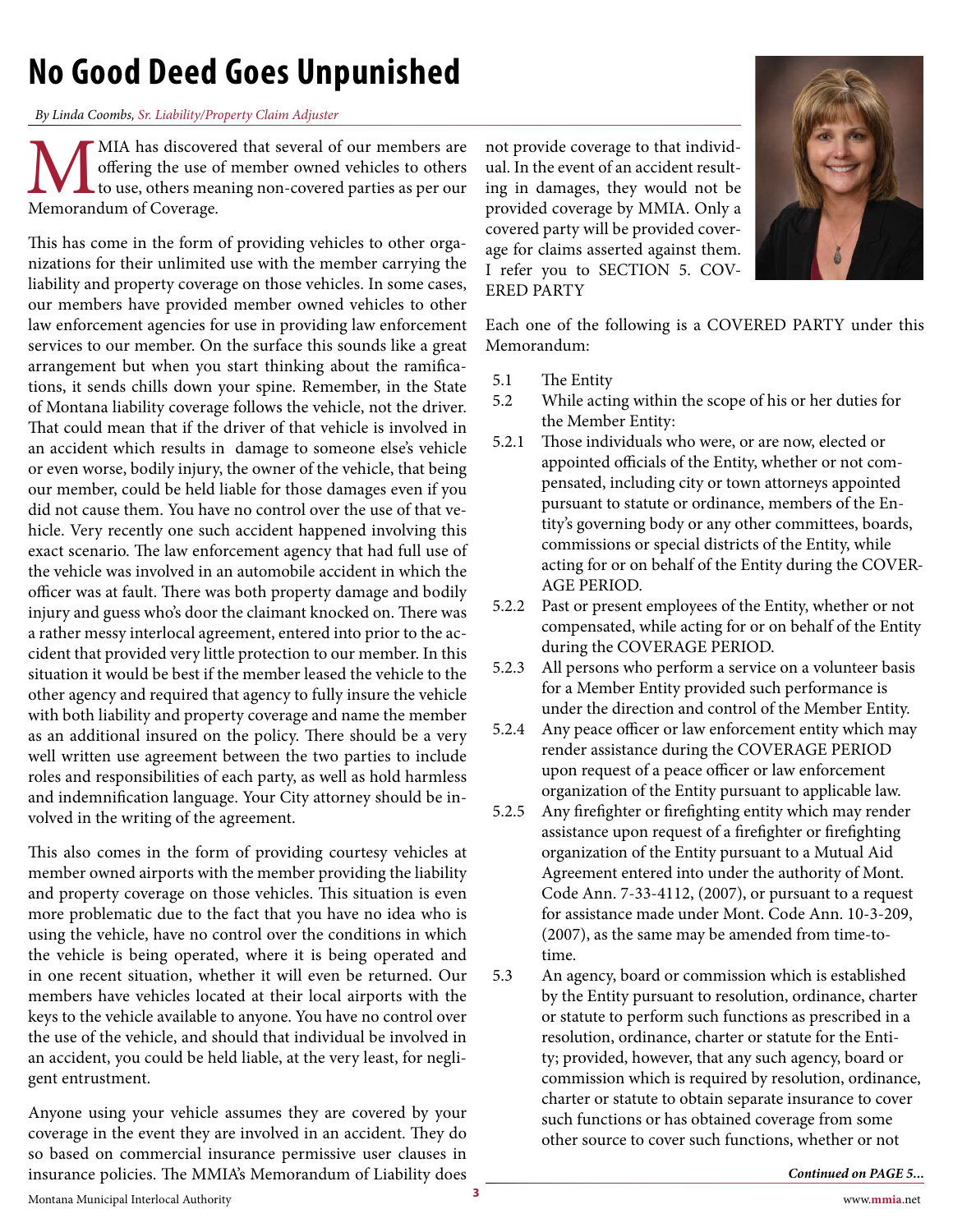# <span id="page-2-0"></span>**No Good Deed Goes Unpunished**

#### *By Linda Coombs, Sr. Liability/Property Claim Adjuster*

**MIA** has discovered that several of our members are offering the use of member owned vehicles to others to other Memorandum of Coverage. offering the use of member owned vehicles to others to use, others meaning non-covered parties as per our Memorandum of Coverage.

This has come in the form of providing vehicles to other organizations for their unlimited use with the member carrying the liability and property coverage on those vehicles. In some cases, our members have provided member owned vehicles to other law enforcement agencies for use in providing law enforcement services to our member. On the surface this sounds like a great arrangement but when you start thinking about the ramifications, it sends chills down your spine. Remember, in the State of Montana liability coverage follows the vehicle, not the driver. That could mean that if the driver of that vehicle is involved in an accident which results in damage to someone else's vehicle or even worse, bodily injury, the owner of the vehicle, that being our member, could be held liable for those damages even if you did not cause them. You have no control over the use of that vehicle. Very recently one such accident happened involving this exact scenario. The law enforcement agency that had full use of the vehicle was involved in an automobile accident in which the officer was at fault. There was both property damage and bodily injury and guess who's door the claimant knocked on. There was a rather messy interlocal agreement, entered into prior to the accident that provided very little protection to our member. In this situation it would be best if the member leased the vehicle to the other agency and required that agency to fully insure the vehicle with both liability and property coverage and name the member as an additional insured on the policy. There should be a very well written use agreement between the two parties to include roles and responsibilities of each party, as well as hold harmless and indemnification language. Your City attorney should be involved in the writing of the agreement.

This also comes in the form of providing courtesy vehicles at member owned airports with the member providing the liability and property coverage on those vehicles. This situation is even more problematic due to the fact that you have no idea who is using the vehicle, have no control over the conditions in which the vehicle is being operated, where it is being operated and in one recent situation, whether it will even be returned. Our members have vehicles located at their local airports with the keys to the vehicle available to anyone. You have no control over the use of the vehicle, and should that individual be involved in an accident, you could be held liable, at the very least, for negligent entrustment.

Anyone using your vehicle assumes they are covered by your coverage in the event they are involved in an accident. They do so based on commercial insurance permissive user clauses in insurance policies. The MMIA's Memorandum of Liability does

not provide coverage to that individual. In the event of an accident resulting in damages, they would not be provided coverage by MMIA. Only a covered party will be provided coverage for claims asserted against them. I refer you to SECTION 5. COV-ERED PARTY



Each one of the following is a COVERED PARTY under this Memorandum:

- 5.1 The Entity
- 5.2 While acting within the scope of his or her duties for the Member Entity:
- 5.2.1 Those individuals who were, or are now, elected or appointed officials of the Entity, whether or not compensated, including city or town attorneys appointed pursuant to statute or ordinance, members of the Entity's governing body or any other committees, boards, commissions or special districts of the Entity, while acting for or on behalf of the Entity during the COVER-AGE PERIOD.
- 5.2.2 Past or present employees of the Entity, whether or not compensated, while acting for or on behalf of the Entity during the COVERAGE PERIOD.
- 5.2.3 All persons who perform a service on a volunteer basis for a Member Entity provided such performance is under the direction and control of the Member Entity.
- 5.2.4 Any peace officer or law enforcement entity which may render assistance during the COVERAGE PERIOD upon request of a peace officer or law enforcement organization of the Entity pursuant to applicable law.
- 5.2.5 Any firefighter or firefighting entity which may render assistance upon request of a firefighter or firefighting organization of the Entity pursuant to a Mutual Aid Agreement entered into under the authority of Mont. Code Ann. 7-33-4112, (2007), or pursuant to a request for assistance made under Mont. Code Ann. 10-3-209, (2007), as the same may be amended from time-totime.
- 5.3 An agency, board or commission which is established by the Entity pursuant to resolution, ordinance, charter or statute to perform such functions as prescribed in a resolution, ordinance, charter or statute for the Entity; provided, however, that any such agency, board or commission which is required by resolution, ordinance, charter or statute to obtain separate insurance to cover such functions or has obtained coverage from some other source to cover such functions, whether or not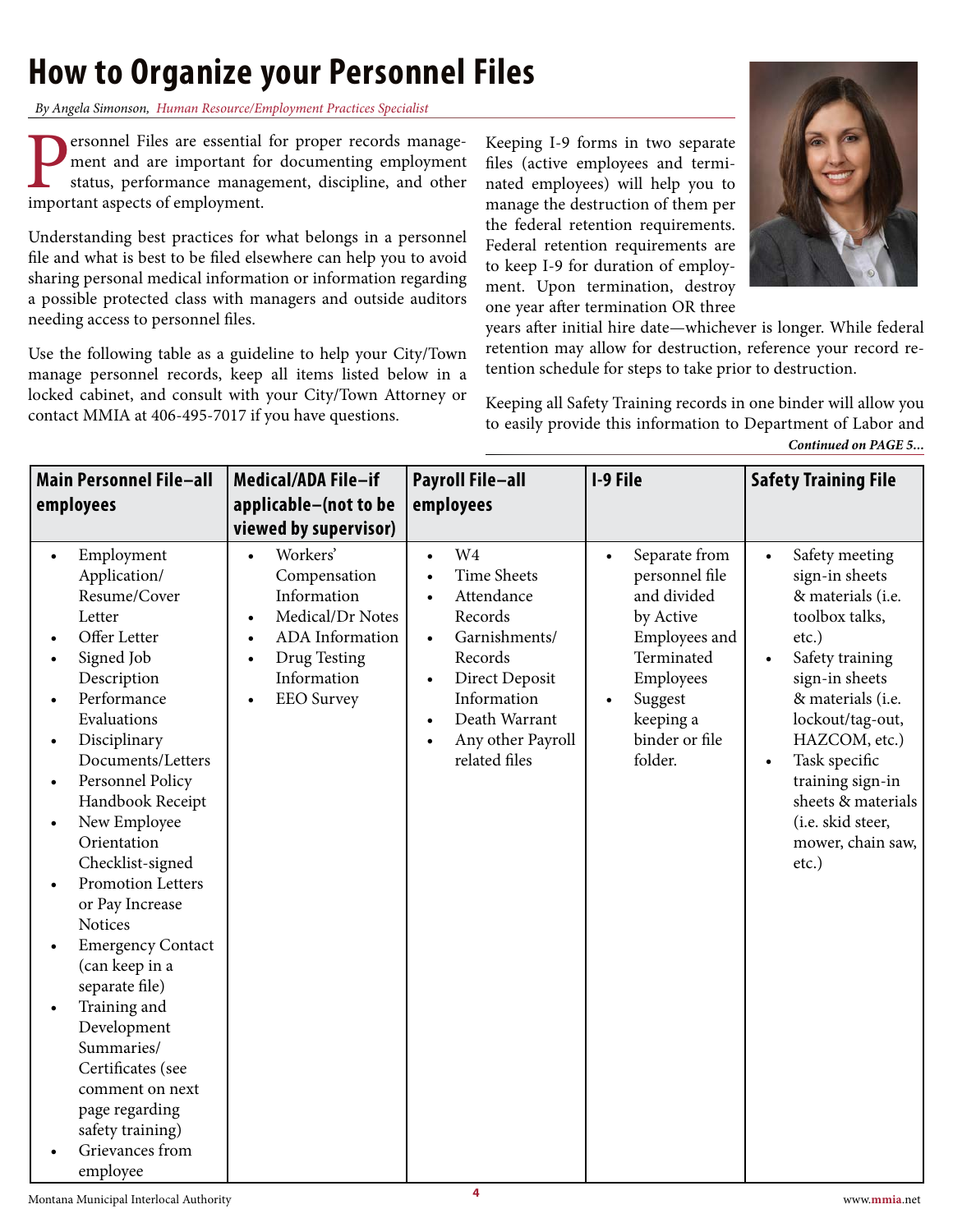# **How to Organize your Personnel Files**

*By Angela Simonson, Human Resource/Employment Practices Specialist*

**Personnel Files are essential for proper records management and are important for documenting employment status, performance management, discipline, and other important aspects of employment.** ment and are important for documenting employment status, performance management, discipline, and other important aspects of employment.

Understanding best practices for what belongs in a personnel file and what is best to be filed elsewhere can help you to avoid sharing personal medical information or information regarding a possible protected class with managers and outside auditors needing access to personnel files.

Use the following table as a guideline to help your City/Town manage personnel records, keep all items listed below in a locked cabinet, and consult with your City/Town Attorney or contact MMIA at 406-495-7017 if you have questions.

Keeping I-9 forms in two separate files (active employees and terminated employees) will help you to manage the destruction of them per the federal retention requirements. Federal retention requirements are to keep I-9 for duration of employment. Upon termination, destroy one year after termination OR three



years after initial hire date—whichever is longer. While federal retention may allow for destruction, reference your record retention schedule for steps to take prior to destruction.

Keeping all Safety Training records in one binder will allow you to easily provide this information to Department of Labor and *Continued on PAGE 5...*

| <b>Main Personnel File-all</b>                                                                                                                                                                                                                                                                                                                                                                                                                                                                                                                                                                                                                                     | Medical/ADA File-if                                                                                                                                                                    | <b>Payroll File-all</b>                                                                                                                                                                                                  | I-9 File                                                                                                                                                     | <b>Safety Training File</b>                                                                                                                                                                                                                                                                                      |
|--------------------------------------------------------------------------------------------------------------------------------------------------------------------------------------------------------------------------------------------------------------------------------------------------------------------------------------------------------------------------------------------------------------------------------------------------------------------------------------------------------------------------------------------------------------------------------------------------------------------------------------------------------------------|----------------------------------------------------------------------------------------------------------------------------------------------------------------------------------------|--------------------------------------------------------------------------------------------------------------------------------------------------------------------------------------------------------------------------|--------------------------------------------------------------------------------------------------------------------------------------------------------------|------------------------------------------------------------------------------------------------------------------------------------------------------------------------------------------------------------------------------------------------------------------------------------------------------------------|
| employees                                                                                                                                                                                                                                                                                                                                                                                                                                                                                                                                                                                                                                                          | applicable-(not to be<br>viewed by supervisor)                                                                                                                                         | employees                                                                                                                                                                                                                |                                                                                                                                                              |                                                                                                                                                                                                                                                                                                                  |
| Employment<br>$\bullet$<br>Application/<br>Resume/Cover<br>Letter<br>Offer Letter<br>$\bullet$<br>Signed Job<br>Description<br>Performance<br>Evaluations<br>Disciplinary<br>$\bullet$<br>Documents/Letters<br>Personnel Policy<br>$\bullet$<br>Handbook Receipt<br>New Employee<br>$\bullet$<br>Orientation<br>Checklist-signed<br><b>Promotion Letters</b><br>$\bullet$<br>or Pay Increase<br><b>Notices</b><br><b>Emergency Contact</b><br>$\bullet$<br>(can keep in a<br>separate file)<br>Training and<br>$\bullet$<br>Development<br>Summaries/<br>Certificates (see<br>comment on next<br>page regarding<br>safety training)<br>Grievances from<br>employee | Workers'<br>$\bullet$<br>Compensation<br>Information<br>Medical/Dr Notes<br>$\bullet$<br>ADA Information<br>$\bullet$<br>Drug Testing<br>$\bullet$<br>Information<br><b>EEO</b> Survey | W <sub>4</sub><br>$\bullet$<br><b>Time Sheets</b><br>Attendance<br>$\bullet$<br>Records<br>Garnishments/<br>$\bullet$<br>Records<br>Direct Deposit<br>Information<br>Death Warrant<br>Any other Payroll<br>related files | Separate from<br>personnel file<br>and divided<br>by Active<br>Employees and<br>Terminated<br>Employees<br>Suggest<br>keeping a<br>binder or file<br>folder. | Safety meeting<br>sign-in sheets<br>& materials (i.e.<br>toolbox talks,<br>$etc.$ )<br>Safety training<br>sign-in sheets<br>& materials (i.e.<br>lockout/tag-out,<br>HAZCOM, etc.)<br>Task specific<br>$\bullet$<br>training sign-in<br>sheets & materials<br>(i.e. skid steer,<br>mower, chain saw,<br>$etc.$ ) |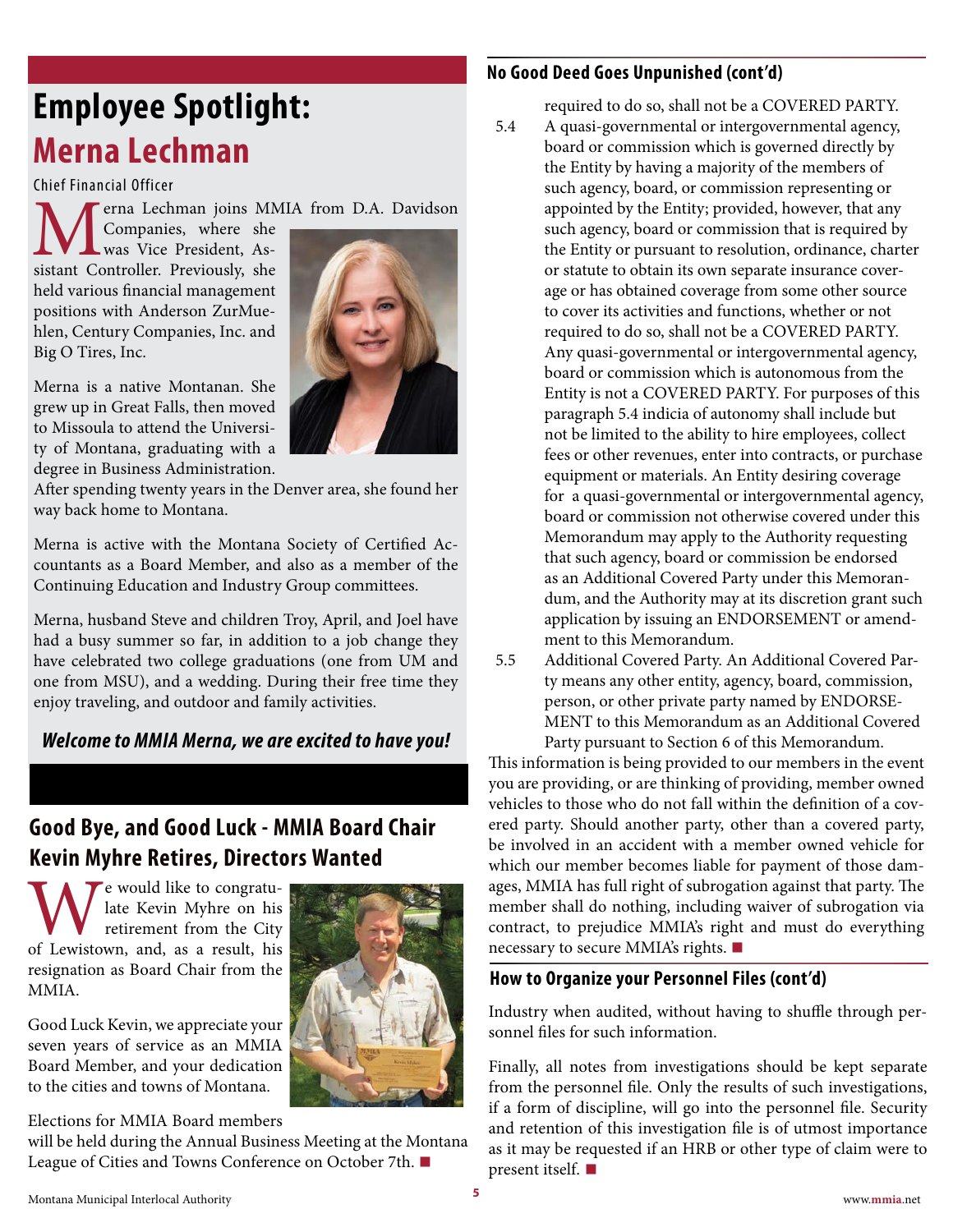# <span id="page-4-0"></span>**Employee Spotlight: Merna Lechman**

Chief Financial Officer

erna Lechman joins MMIA from D.A. Davidson

Companies, where she was Vice President, Assistant Controller. Previously, she held various financial management positions with Anderson ZurMuehlen, Century Companies, Inc. and Big O Tires, Inc.

Merna is a native Montanan. She grew up in Great Falls, then moved to Missoula to attend the University of Montana, graduating with a degree in Business Administration.



After spending twenty years in the Denver area, she found her way back home to Montana.

Merna is active with the Montana Society of Certified Accountants as a Board Member, and also as a member of the Continuing Education and Industry Group committees.

Merna, husband Steve and children Troy, April, and Joel have had a busy summer so far, in addition to a job change they have celebrated two college graduations (one from UM and one from MSU), and a wedding. During their free time they enjoy traveling, and outdoor and family activities.

### *Welcome to MMIA Merna, we are excited to have you!*

### **Good Bye, and Good Luck - MMIA Board Chair Kevin Myhre Retires, Directors Wanted**

We would like to congratu-<br>
retirement from the City<br>
of Lewistown, and, as a result, his late Kevin Myhre on his retirement from the City resignation as Board Chair from the MMIA.

Good Luck Kevin, we appreciate your seven years of service as an MMIA Board Member, and your dedication to the cities and towns of Montana.

Elections for MMIA Board members

will be held during the Annual Business Meeting at the Montana League of Cities and Towns Conference on October 7th. **■**

### **No Good Deed Goes Unpunished (cont'd)**

required to do so, shall not be a COVERED PARTY.

- 5.4 A quasi-governmental or intergovernmental agency, board or commission which is governed directly by the Entity by having a majority of the members of such agency, board, or commission representing or appointed by the Entity; provided, however, that any such agency, board or commission that is required by the Entity or pursuant to resolution, ordinance, charter or statute to obtain its own separate insurance coverage or has obtained coverage from some other source to cover its activities and functions, whether or not required to do so, shall not be a COVERED PARTY. Any quasi-governmental or intergovernmental agency, board or commission which is autonomous from the Entity is not a COVERED PARTY. For purposes of this paragraph 5.4 indicia of autonomy shall include but not be limited to the ability to hire employees, collect fees or other revenues, enter into contracts, or purchase equipment or materials. An Entity desiring coverage for a quasi-governmental or intergovernmental agency, board or commission not otherwise covered under this Memorandum may apply to the Authority requesting that such agency, board or commission be endorsed as an Additional Covered Party under this Memorandum, and the Authority may at its discretion grant such application by issuing an ENDORSEMENT or amendment to this Memorandum.
- 5.5 Additional Covered Party. An Additional Covered Party means any other entity, agency, board, commission, person, or other private party named by ENDORSE-MENT to this Memorandum as an Additional Covered Party pursuant to Section 6 of this Memorandum.

This information is being provided to our members in the event you are providing, or are thinking of providing, member owned vehicles to those who do not fall within the definition of a covered party. Should another party, other than a covered party, be involved in an accident with a member owned vehicle for which our member becomes liable for payment of those damages, MMIA has full right of subrogation against that party. The member shall do nothing, including waiver of subrogation via contract, to prejudice MMIA's right and must do everything necessary to secure MMIA's rights. **■**

### **How to Organize your Personnel Files (cont'd)**

Industry when audited, without having to shuffle through personnel files for such information.

Finally, all notes from investigations should be kept separate from the personnel file. Only the results of such investigations, if a form of discipline, will go into the personnel file. Security and retention of this investigation file is of utmost importance as it may be requested if an HRB or other type of claim were to present itself. **■**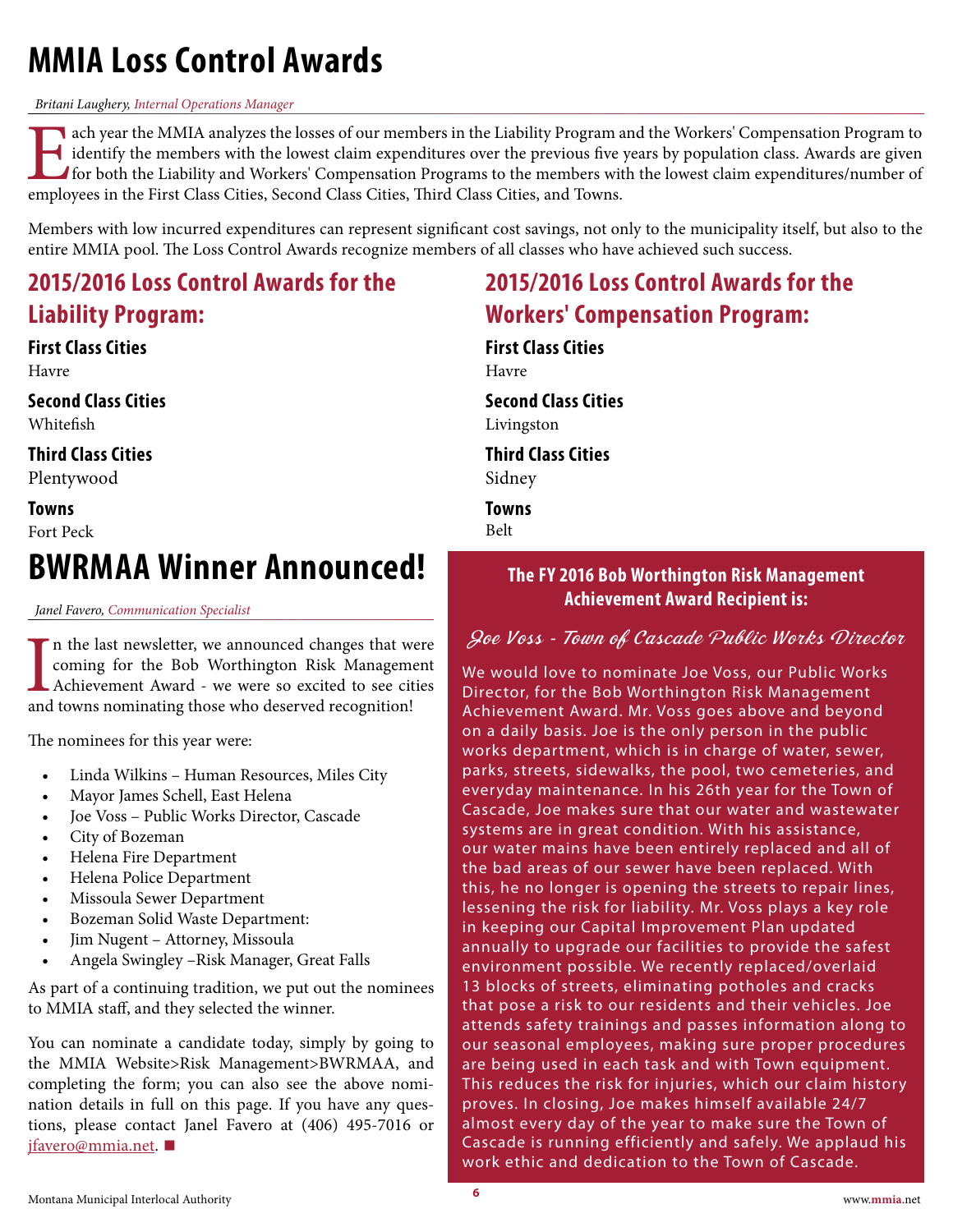# <span id="page-5-0"></span>**MMIA Loss Control Awards**

#### *Britani Laughery, Internal Operations Manager*

Each year the MMIA analyzes the losses of our members in the Liability Program and the Workers' Compensation Program to identify the members with the lowest claim expenditures over the previous five years by population cla identify the members with the lowest claim expenditures over the previous five years by population class. Awards are given for both the Liability and Workers' Compensation Programs to the members with the lowest claim expenditures/number of employees in the First Class Cities, Second Class Cities, Third Class Cities, and Towns.

Members with low incurred expenditures can represent significant cost savings, not only to the municipality itself, but also to the entire MMIA pool. The Loss Control Awards recognize members of all classes who have achieved such success.

# **2015/2016 Loss Control Awards for the Liability Program:**

# **First Class Cities**

Havre

**Second Class Cities** Whitefish

**Third Class Cities**

Plentywood

**Towns** Fort Peck

# **BWRMAA Winner Announced!**

*Janel Favero, Communication Specialist*

In the last newsletter, we announced changes that w coming for the Bob Worthington Risk Managem Achievement Award - we were so excited to see cit and towns nominating those who deserved recognition! n the last newsletter, we announced changes that were coming for the Bob Worthington Risk Management Achievement Award - we were so excited to see cities

The nominees for this year were:

- Linda Wilkins Human Resources, Miles City
- Mayor James Schell, East Helena
- Joe Voss Public Works Director, Cascade
- City of Bozeman
- Helena Fire Department
- Helena Police Department
- Missoula Sewer Department
- Bozeman Solid Waste Department:
- Jim Nugent Attorney, Missoula
- Angela Swingley –Risk Manager, Great Falls

As part of a continuing tradition, we put out the nominees to MMIA staff, and they selected the winner.

You can nominate a candidate today, simply by going to the MMIA Website>Risk Management>BWRMAA, and completing the form; you can also see the above nomination details in full on this page. If you have any ques[tions, please cont](mailto:jfavero%40mmia.net?subject=)act Janel Favero at (406) 495-7016 or jfavero@mmia.net. **■**

# **2015/2016 Loss Control Awards for the Workers' Compensation Program:**

**First Class Cities** Havre

**Second Class Cities**

Livingston

**Third Class Cities**

Sidney

**Towns**

Belt

### **The FY 2016 Bob Worthington Risk Management Achievement Award Recipient is:**

### Joe Voss - Town of Cascade Public Works Director

We would love to nominate Joe Voss, our Public Works Director, for the Bob Worthington Risk Management Achievement Award. Mr. Voss goes above and beyond on a daily basis. Joe is the only person in the public works department, which is in charge of water, sewer, parks, streets, sidewalks, the pool, two cemeteries, and everyday maintenance. In his 26th year for the Town of Cascade, Joe makes sure that our water and wastewater systems are in great condition. With his assistance, our water mains have been entirely replaced and all of the bad areas of our sewer have been replaced. With this, he no longer is opening the streets to repair lines, lessening the risk for liability. Mr. Voss plays a key role in keeping our Capital Improvement Plan updated annually to upgrade our facilities to provide the safest environment possible. We recently replaced/overlaid 13 blocks of streets, eliminating potholes and cracks that pose a risk to our residents and their vehicles. Joe attends safety trainings and passes information along to our seasonal employees, making sure proper procedures are being used in each task and with Town equipment. This reduces the risk for injuries, which our claim history proves. In closing, Joe makes himself available 24/7 almost every day of the year to make sure the Town of Cascade is running efficiently and safely. We applaud his work ethic and dedication to the Town of Cascade.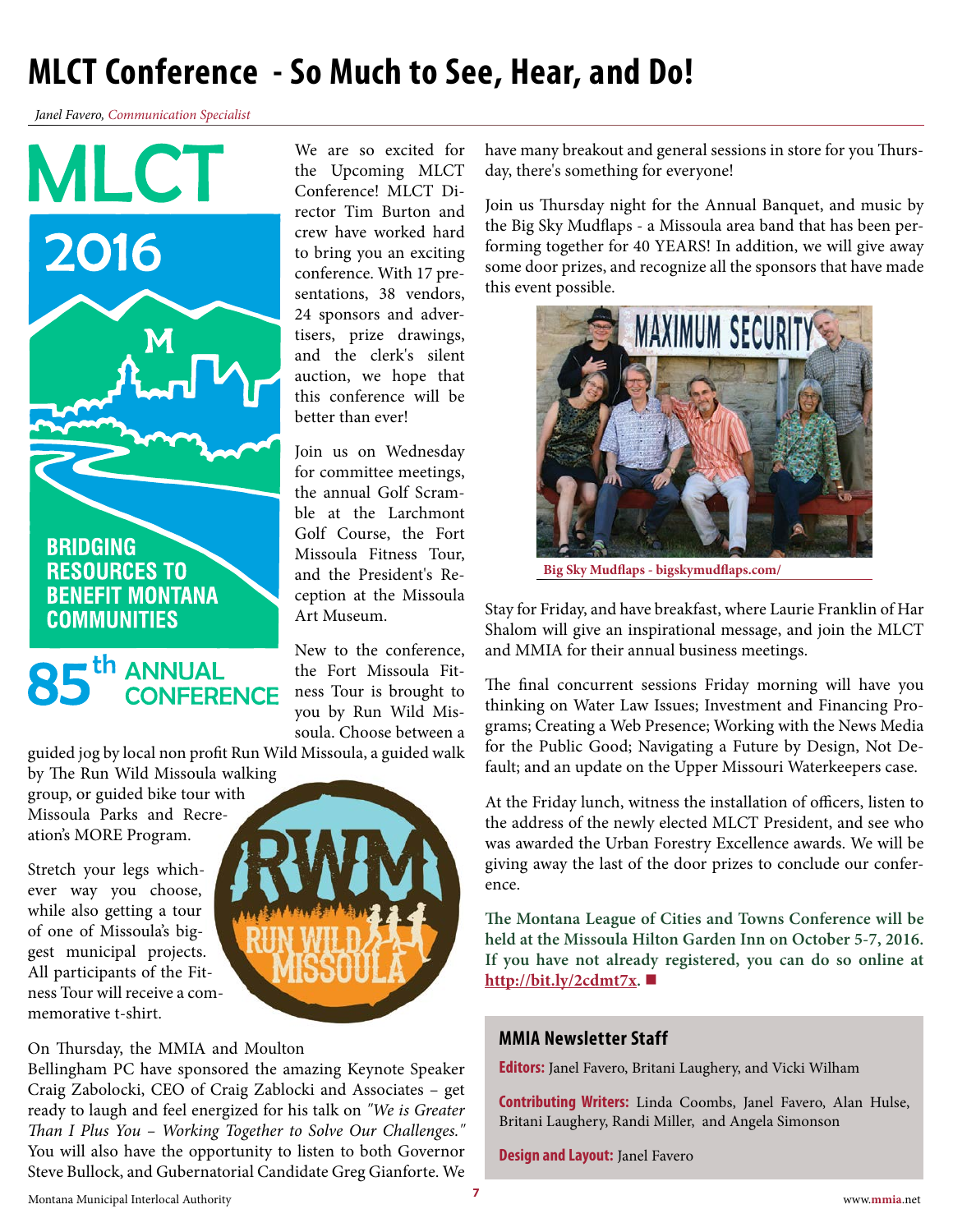# <span id="page-6-0"></span>**MLCT Conference - So Much to See, Hear, and Do!**

*Janel Favero, Communication Specialist*





We are so excited for the Upcoming MLCT Conference! MLCT Director Tim Burton and crew have worked hard to bring you an exciting conference. With 17 presentations, 38 vendors, 24 sponsors and advertisers, prize drawings, and the clerk's silent auction, we hope that this conference will be better than ever!

Join us on Wednesday for committee meetings, the annual Golf Scramble at the Larchmont Golf Course, the Fort Missoula Fitness Tour, and the President's Reception at the Missoula Art Museum.

New to the conference, the Fort Missoula Fitness Tour is brought to you by Run Wild Missoula. Choose between a

guided jog by local non profit Run Wild Missoula, a guided walk

by The Run Wild Missoula walking group, or guided bike tour with Missoula Parks and Recreation's MORE Program.

Stretch your legs whichever way you choose, while also getting a tour of one of Missoula's biggest municipal projects. All participants of the Fitness Tour will receive a commemorative t-shirt.

On Thursday, the MMIA and Moulton

Bellingham PC have sponsored the amazing Keynote Speaker Craig Zabolocki, CEO of Craig Zablocki and Associates – get ready to laugh and feel energized for his talk on *"We is Greater Than I Plus You – Working Together to Solve Our Challenges."*  You will also have the opportunity to listen to both Governor Steve Bullock, and Gubernatorial Candidate Greg Gianforte. We have many breakout and general sessions in store for you Thursday, there's something for everyone!

Join us Thursday night for the Annual Banquet, and music by the Big Sky Mudflaps - a Missoula area band that has been performing together for 40 YEARS! In addition, we will give away some door prizes, and recognize all the sponsors that have made this event possible.



**Big Sky Mudflaps - bigskymudflaps.com/**

Stay for Friday, and have breakfast, where Laurie Franklin of Har Shalom will give an inspirational message, and join the MLCT and MMIA for their annual business meetings.

The final concurrent sessions Friday morning will have you thinking on Water Law Issues; Investment and Financing Programs; Creating a Web Presence; Working with the News Media for the Public Good; Navigating a Future by Design, Not Default; and an update on the Upper Missouri Waterkeepers case.

At the Friday lunch, witness the installation of officers, listen to the address of the newly elected MLCT President, and see who was awarded the Urban Forestry Excellence awards. We will be giving away the last of the door prizes to conclude our conference.

**The Montana League of Cities and Towns Conference will be held at the Missoula Hilton Garden Inn on October 5-7, 2016. [If you have not alrea](http://bit.ly/2cdmt7x)dy registered, you can do so online at http://bit.ly/2cdmt7x. ■**

### **MMIA Newsletter Staff**

**Editors:** Janel Favero, Britani Laughery, and Vicki Wilham

**Contributing Writers:** Linda Coombs, Janel Favero, Alan Hulse, Britani Laughery, Randi Miller, and Angela Simonson

**Design and Layout:** Janel Favero